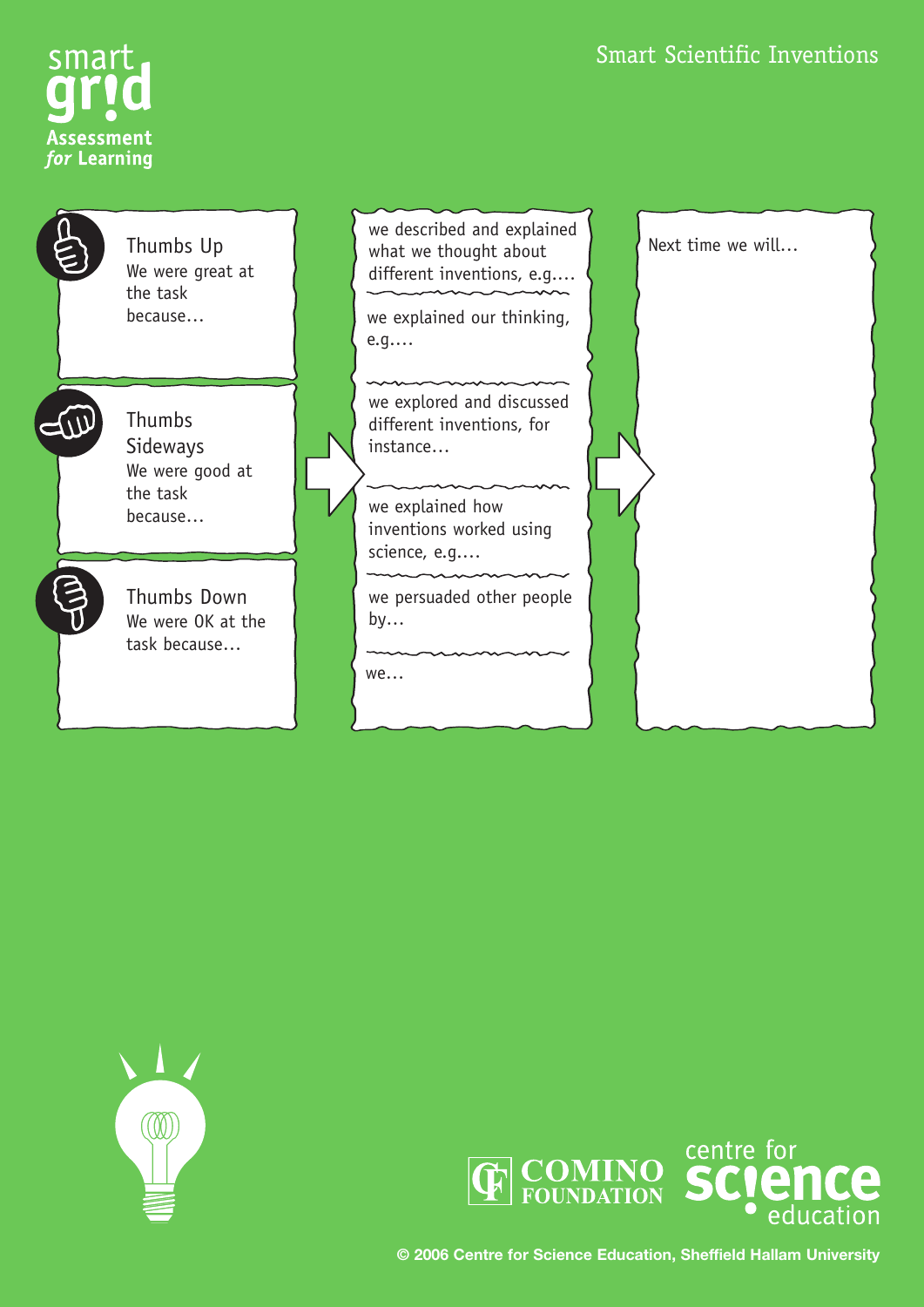### Smart Scientific Inventions





task because…

we described and explained what we thought about different inventions, e.g.…

we explained our thinking, e.g.…

 $\sim$   $\sim$   $\sim$   $\sim$   $\sim$   $\sim$ 

we explored and discussed different inventions, for instance…

we explained how inventions worked using science, e.g.…

we persuaded other people by…

we…

Next time we will…



centre for  $\boxed{\mathbf{G}}$  COMINO  $\begin{bmatrix} \mathbf{C} \mathbf{O} & \mathbf{C} \end{bmatrix}$ education

**© 2006 Centre for Science Education, Sheffield Hallam University**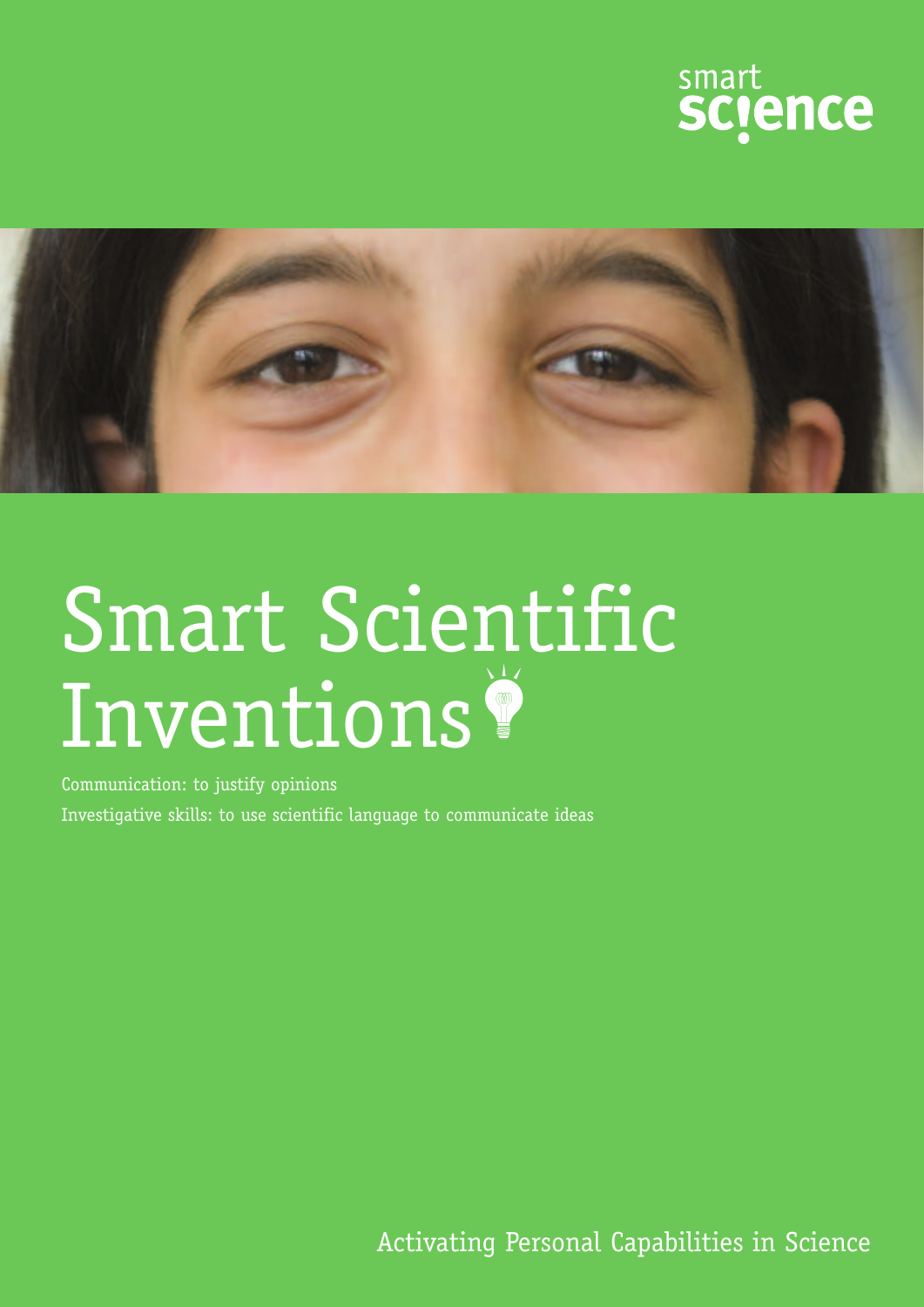



# Smart Scientific Inventions<sup>?</sup>

Communication: to justify opinions Investigative skills: to use scientific language to communicate ideas

Activating Personal Capabilities in Science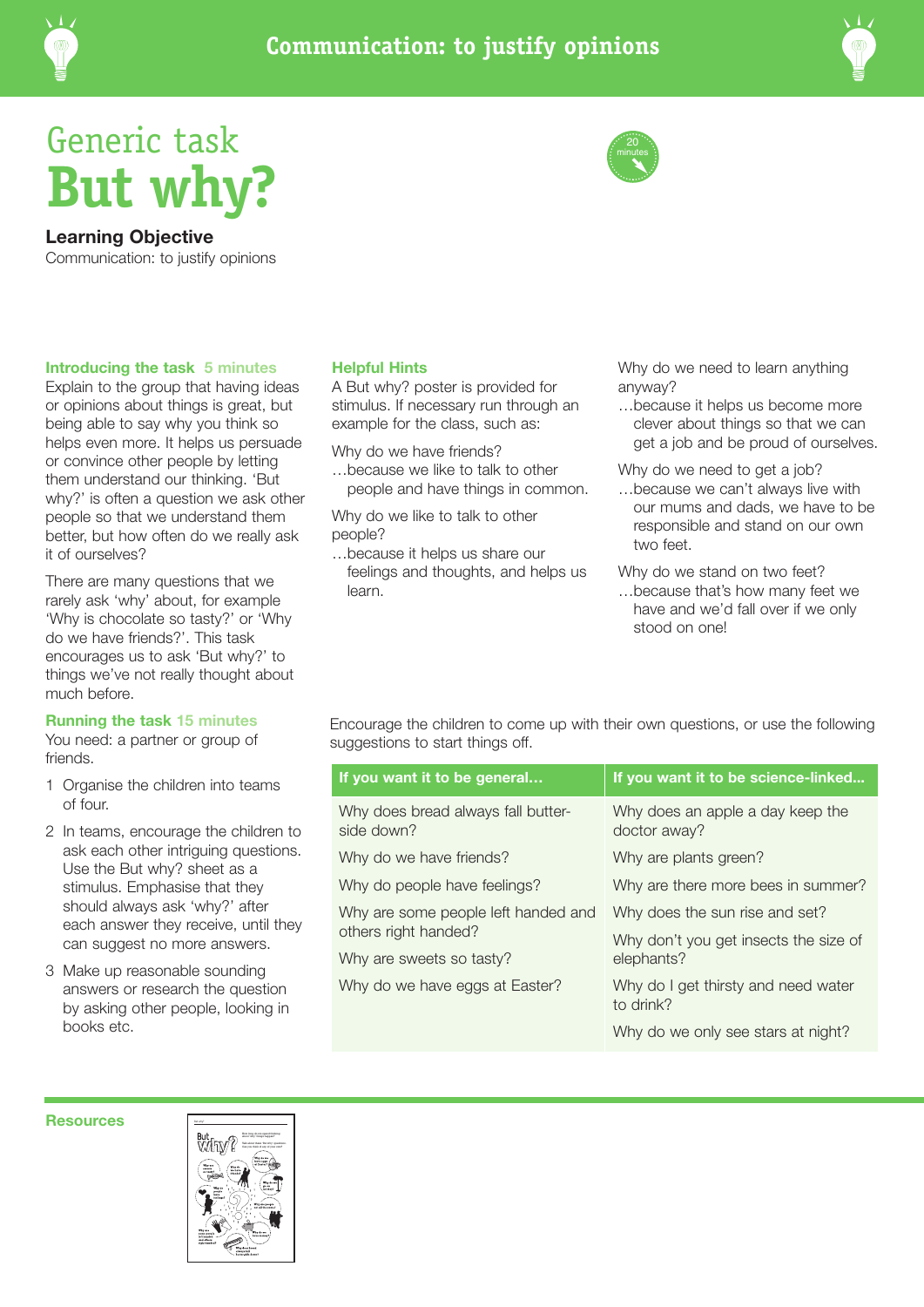





# Generic task **But why?**



**Learning Objective** Communication: to justify opinions

#### **Introducing the task 5 minutes**

Explain to the group that having ideas or opinions about things is great, but being able to say why you think so helps even more. It helps us persuade or convince other people by letting them understand our thinking. 'But why?' is often a question we ask other people so that we understand them better, but how often do we really ask it of ourselves?

There are many questions that we rarely ask 'why' about, for example 'Why is chocolate so tasty?' or 'Why do we have friends?'. This task encourages us to ask 'But why?' to things we've not really thought about much before.

#### **Running the task 15 minutes**

You need: a partner or group of friends.

- 1 Organise the children into teams of four.
- 2 In teams, encourage the children to ask each other intriguing questions. Use the But why? sheet as a stimulus. Emphasise that they should always ask 'why?' after each answer they receive, until they can suggest no more answers.
- 3 Make up reasonable sounding answers or research the question by asking other people, looking in books etc.

#### **Helpful Hints**

A But why? poster is provided for stimulus. If necessary run through an example for the class, such as:

Why do we have friends?

…because we like to talk to other people and have things in common.

Why do we like to talk to other people?

…because it helps us share our feelings and thoughts, and helps us learn.

Why do we need to learn anything anyway?

…because it helps us become more clever about things so that we can get a job and be proud of ourselves.

Why do we need to get a job?

…because we can't always live with our mums and dads, we have to be responsible and stand on our own two feet.

Why do we stand on two feet?

…because that's how many feet we have and we'd fall over if we only stood on one!

Encourage the children to come up with their own questions, or use the following suggestions to start things off.

| If you want it to be general                     | If you want it to be science-linked              |
|--------------------------------------------------|--------------------------------------------------|
| Why does bread always fall butter-<br>side down? | Why does an apple a day keep the<br>doctor away? |
| Why do we have friends?                          | Why are plants green?                            |
| Why do people have feelings?                     | Why are there more bees in summer?               |
| Why are some people left handed and              | Why does the sun rise and set?                   |
| others right handed?                             | Why don't you get insects the size of            |
| Why are sweets so tasty?                         | elephants?                                       |
| Why do we have eggs at Easter?                   | Why do I get thirsty and need water<br>to drink? |
|                                                  | Why do we only see stars at night?               |

#### **Resources**

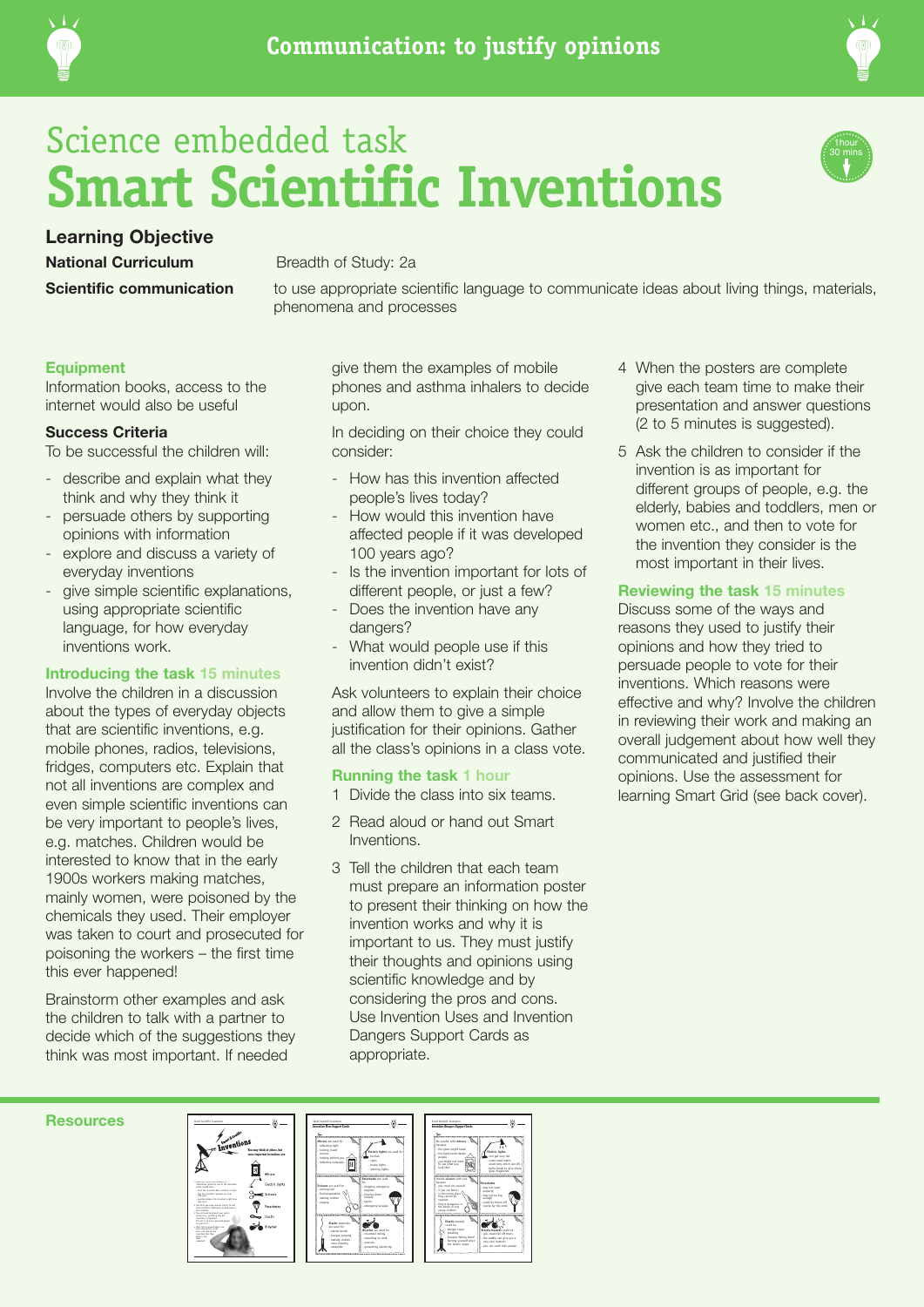



# Science embedded task **Smart Scientific Inventions**



**Learning Objective** 

**National Curriculum Breadth of Study: 2a** 

**Scientific communication** to use appropriate scientific language to communicate ideas about living things, materials, phenomena and processes

#### **Equipment**

Information books, access to the internet would also be useful

#### **Success Criteria**

To be successful the children will:

- describe and explain what they think and why they think it
- persuade others by supporting opinions with information
- explore and discuss a variety of everyday inventions
- give simple scientific explanations, using appropriate scientific language, for how everyday inventions work.

#### **Introducing the task 15 minutes**

Involve the children in a discussion about the types of everyday objects that are scientific inventions, e.g. mobile phones, radios, televisions, fridges, computers etc. Explain that not all inventions are complex and even simple scientific inventions can be very important to people's lives, e.g. matches. Children would be interested to know that in the early 1900s workers making matches, mainly women, were poisoned by the chemicals they used. Their employer was taken to court and prosecuted for poisoning the workers – the first time this ever happened!

Brainstorm other examples and ask the children to talk with a partner to decide which of the suggestions they think was most important. If needed

give them the examples of mobile phones and asthma inhalers to decide upon.

In deciding on their choice they could consider:

- How has this invention affected people's lives today?
- How would this invention have affected people if it was developed 100 years ago?
- Is the invention important for lots of different people, or just a few?
- Does the invention have any dangers?
- What would people use if this invention didn't exist?

Ask volunteers to explain their choice and allow them to give a simple justification for their opinions. Gather all the class's opinions in a class vote.

#### **Running the task 1 hour**

- 1 Divide the class into six teams.
- 2 Read aloud or hand out Smart Inventions.
- 3 Tell the children that each team must prepare an information poster to present their thinking on how the invention works and why it is important to us. They must justify their thoughts and opinions using scientific knowledge and by considering the pros and cons. Use Invention Uses and Invention Dangers Support Cards as appropriate.
- 4 When the posters are complete give each team time to make their presentation and answer questions (2 to 5 minutes is suggested).
- 5 Ask the children to consider if the invention is as important for different groups of people, e.g. the elderly, babies and toddlers, men or women etc., and then to vote for the invention they consider is the most important in their lives.

#### **Reviewing the task 15 minutes**

Discuss some of the ways and reasons they used to justify their opinions and how they tried to persuade people to vote for their inventions. Which reasons were effective and why? Involve the children in reviewing their work and making an overall judgement about how well they communicated and justified their opinions. Use the assessment for learning Smart Grid (see back cover).

#### **Resources**





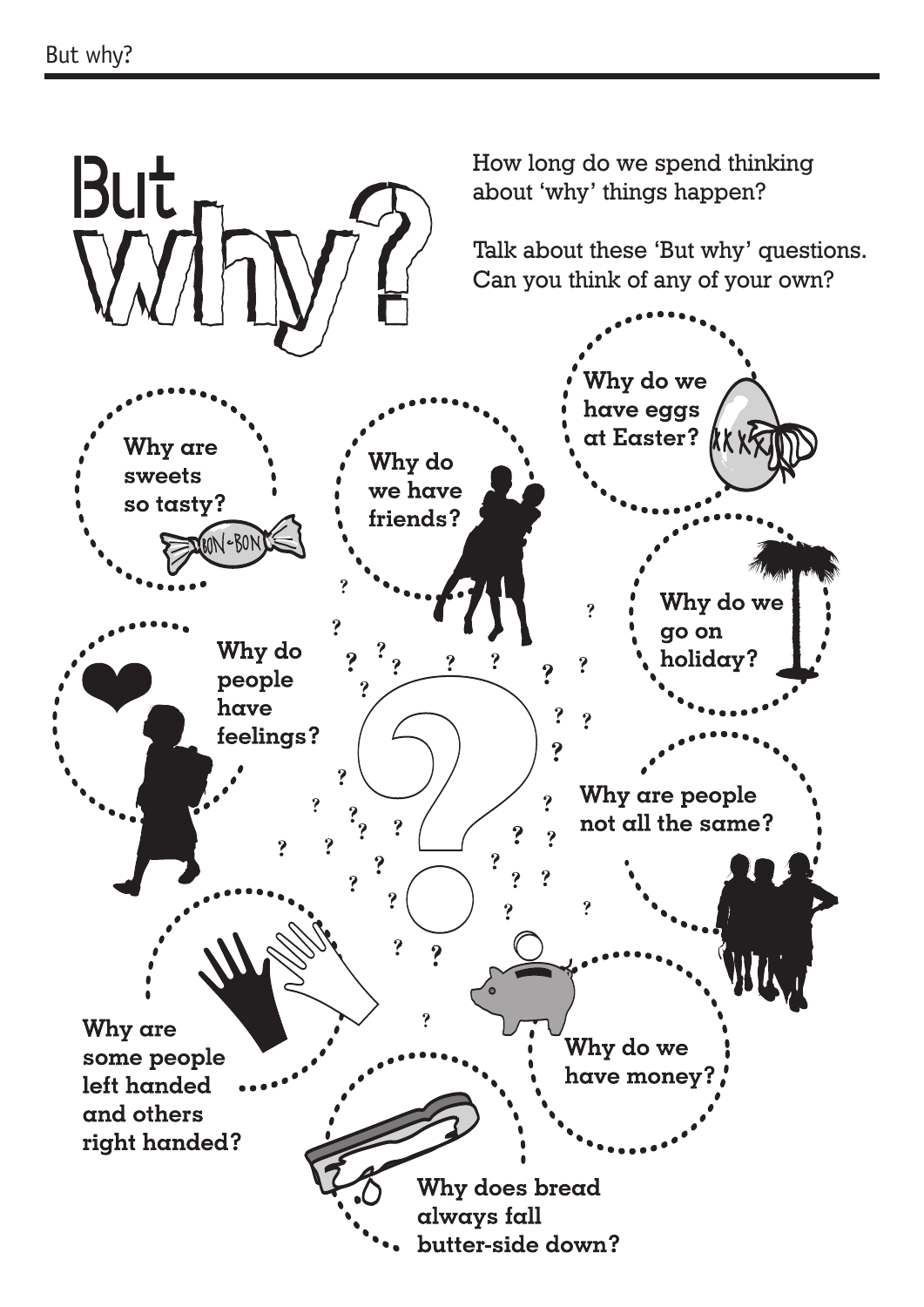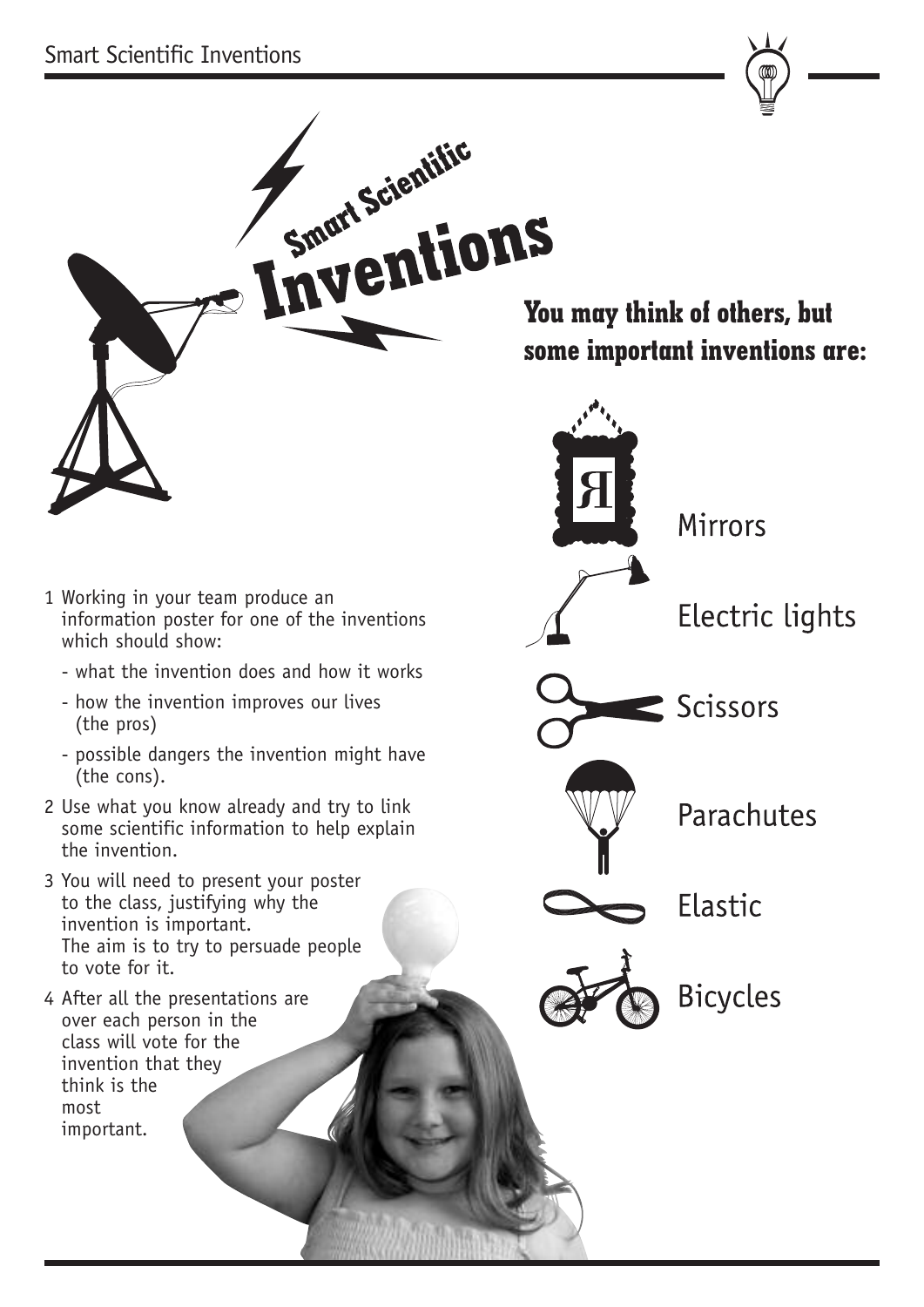

**some important inventions are:**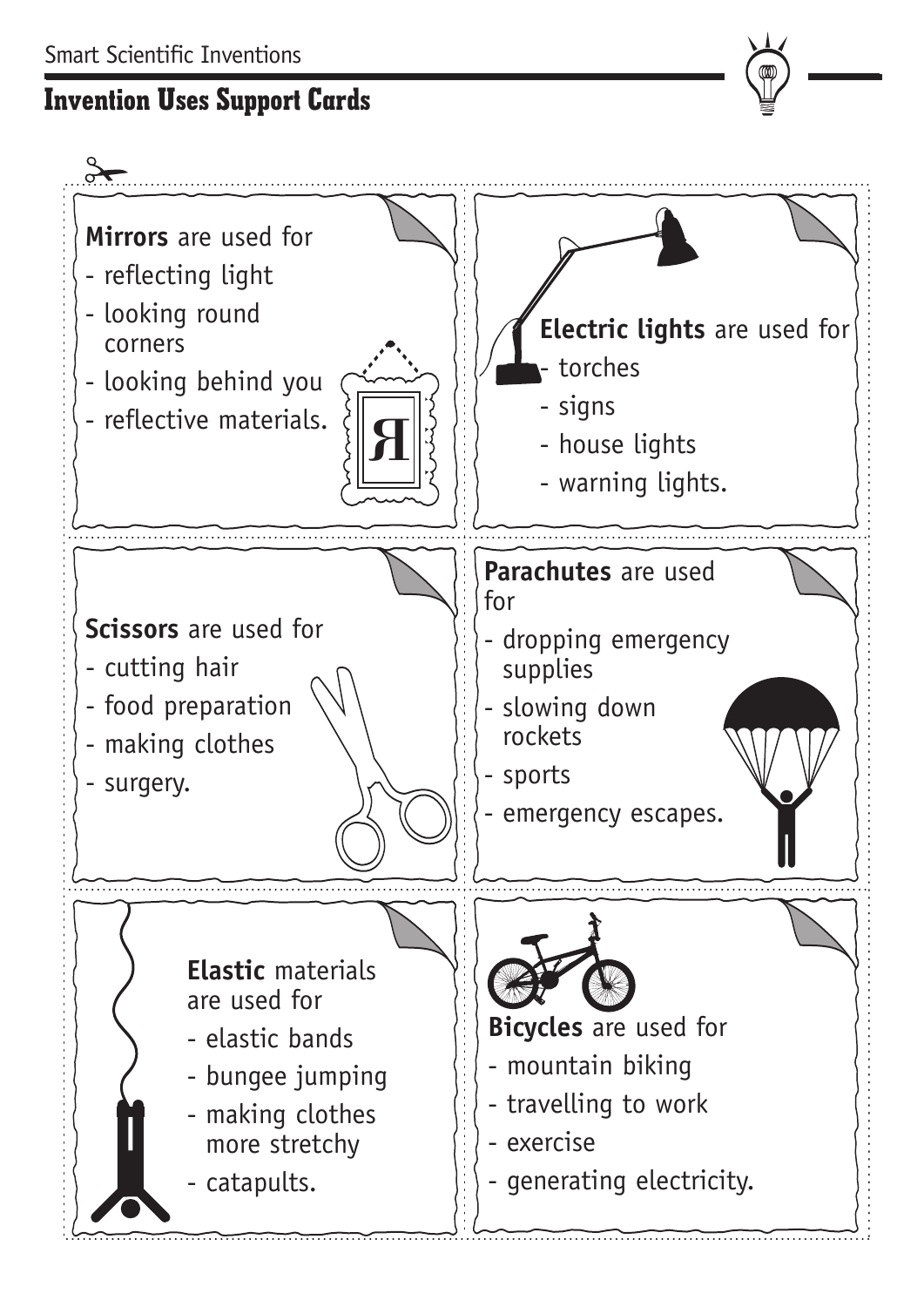## **Invention Uses Support Cards**